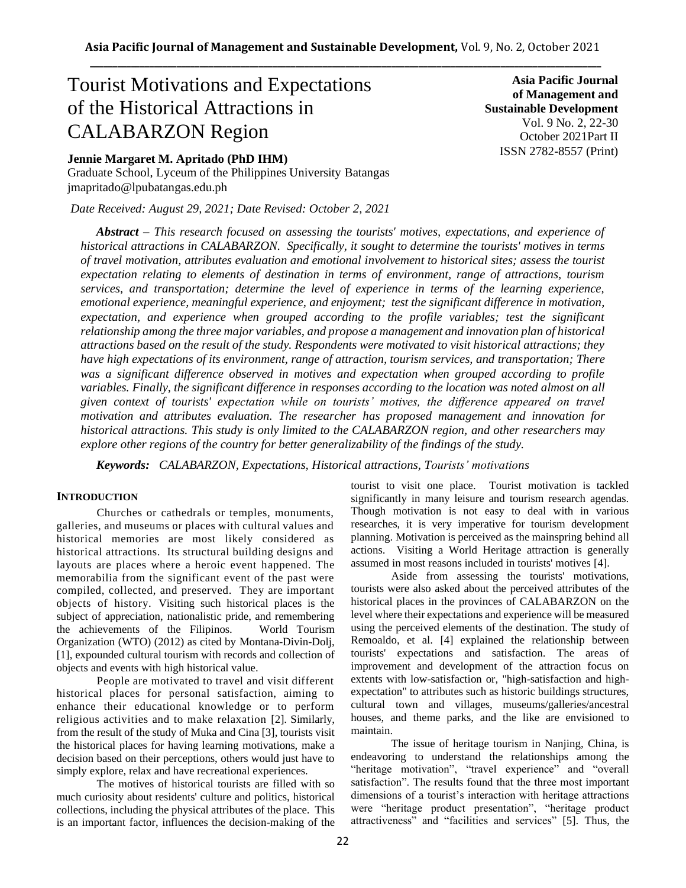# Tourist Motivations and Expectations of the Historical Attractions in CALABARZON Region

**Jennie Margaret M. Apritado (PhD IHM)**

Graduate School, Lyceum of the Philippines University Batangas jmapritado@lpubatangas.edu.ph

*Date Received: August 29, 2021; Date Revised: October 2, 2021*

**Asia Pacific Journal of Management and Sustainable Development**  Vol. 9 No. 2, 22-30 October 2021Part II ISSN 2782-8557 (Print)

*Abstract – This research focused on assessing the tourists' motives, expectations, and experience of historical attractions in CALABARZON. Specifically, it sought to determine the tourists' motives in terms of travel motivation, attributes evaluation and emotional involvement to historical sites; assess the tourist expectation relating to elements of destination in terms of environment, range of attractions, tourism services, and transportation; determine the level of experience in terms of the learning experience, emotional experience, meaningful experience, and enjoyment; test the significant difference in motivation, expectation, and experience when grouped according to the profile variables; test the significant relationship among the three major variables, and propose a management and innovation plan of historical attractions based on the result of the study. Respondents were motivated to visit historical attractions; they have high expectations of its environment, range of attraction, tourism services, and transportation; There was a significant difference observed in motives and expectation when grouped according to profile variables. Finally, the significant difference in responses according to the location was noted almost on all given context of tourists' expectation while on tourists' motives, the difference appeared on travel motivation and attributes evaluation. The researcher has proposed management and innovation for historical attractions. This study is only limited to the CALABARZON region, and other researchers may explore other regions of the country for better generalizability of the findings of the study.* 

*Keywords: CALABARZON, Expectations, Historical attractions, Tourists' motivations*

## **INTRODUCTION**

Churches or cathedrals or temples, monuments, galleries, and museums or places with cultural values and historical memories are most likely considered as historical attractions. Its structural building designs and layouts are places where a heroic event happened. The memorabilia from the significant event of the past were compiled, collected, and preserved. They are important objects of history. Visiting such historical places is the subject of appreciation, nationalistic pride, and remembering the achievements of the Filipinos. World Tourism Organization (WTO) (2012) as cited by Montana-Divin-Dolj, [1], expounded cultural tourism with records and collection of objects and events with high historical value.

People are motivated to travel and visit different historical places for personal satisfaction, aiming to enhance their educational knowledge or to perform religious activities and to make relaxation [2]. Similarly, from the result of the study of Muka and Cina [3], tourists visit the historical places for having learning motivations, make a decision based on their perceptions, others would just have to simply explore, relax and have recreational experiences.

The motives of historical tourists are filled with so much curiosity about residents' culture and politics, historical collections, including the physical attributes of the place. This is an important factor, influences the decision-making of the tourist to visit one place. Tourist motivation is tackled significantly in many leisure and tourism research agendas. Though motivation is not easy to deal with in various researches, it is very imperative for tourism development planning. Motivation is perceived as the mainspring behind all actions. Visiting a World Heritage attraction is generally assumed in most reasons included in tourists' motives [4].

Aside from assessing the tourists' motivations, tourists were also asked about the perceived attributes of the historical places in the provinces of CALABARZON on the level where their expectations and experience will be measured using the perceived elements of the destination. The study of Remoaldo, et al. [4] explained the relationship between tourists' expectations and satisfaction. The areas of improvement and development of the attraction focus on extents with low-satisfaction or, "high-satisfaction and highexpectation" to attributes such as historic buildings structures, cultural town and villages, museums/galleries/ancestral houses, and theme parks, and the like are envisioned to maintain.

The issue of heritage tourism in Nanjing, China, is endeavoring to understand the relationships among the "heritage motivation", "travel experience" and "overall satisfaction". The results found that the three most important dimensions of a tourist's interaction with heritage attractions were "heritage product presentation", "heritage product attractiveness" and "facilities and services" [5]. Thus, the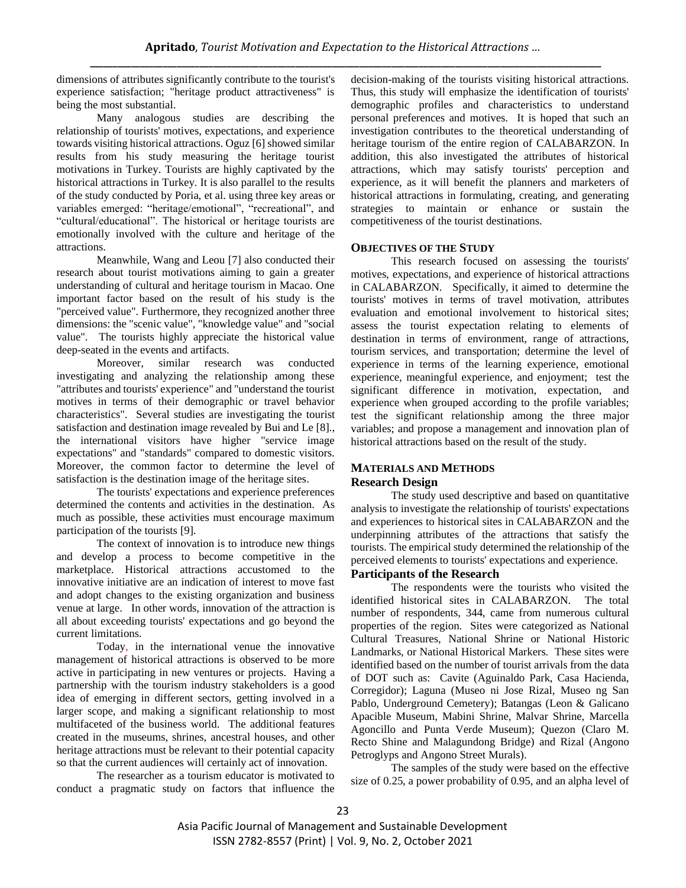dimensions of attributes significantly contribute to the tourist's experience satisfaction; "heritage product attractiveness" is being the most substantial.

Many analogous studies are describing the relationship of tourists' motives, expectations, and experience towards visiting historical attractions. Oguz [6] showed similar results from his study measuring the heritage tourist motivations in Turkey. Tourists are highly captivated by the historical attractions in Turkey. It is also parallel to the results of the study conducted by Poria, et al. using three key areas or variables emerged: "heritage/emotional", "recreational", and "cultural/educational". The historical or heritage tourists are emotionally involved with the culture and heritage of the attractions.

Meanwhile, Wang and Leou [7] also conducted their research about tourist motivations aiming to gain a greater understanding of cultural and heritage tourism in Macao. One important factor based on the result of his study is the "perceived value". Furthermore, they recognized another three dimensions: the "scenic value", "knowledge value" and "social value". The tourists highly appreciate the historical value deep-seated in the events and artifacts.

Moreover, similar research was conducted investigating and analyzing the relationship among these "attributes and tourists' experience" and "understand the tourist motives in terms of their demographic or travel behavior characteristics". Several studies are investigating the tourist satisfaction and destination image revealed by Bui and Le [8]., the international visitors have higher "service image expectations" and "standards" compared to domestic visitors. Moreover, the common factor to determine the level of satisfaction is the destination image of the heritage sites.

The tourists' expectations and experience preferences determined the contents and activities in the destination. As much as possible, these activities must encourage maximum participation of the tourists [9].

The context of innovation is to introduce new things and develop a process to become competitive in the marketplace. Historical attractions accustomed to the innovative initiative are an indication of interest to move fast and adopt changes to the existing organization and business venue at large. In other words, innovation of the attraction is all about exceeding tourists' expectations and go beyond the current limitations.

Today, in the international venue the innovative management of historical attractions is observed to be more active in participating in new ventures or projects. Having a partnership with the tourism industry stakeholders is a good idea of emerging in different sectors, getting involved in a larger scope, and making a significant relationship to most multifaceted of the business world. The additional features created in the museums, shrines, ancestral houses, and other heritage attractions must be relevant to their potential capacity so that the current audiences will certainly act of innovation.

The researcher as a tourism educator is motivated to conduct a pragmatic study on factors that influence the

decision-making of the tourists visiting historical attractions. Thus, this study will emphasize the identification of tourists' demographic profiles and characteristics to understand personal preferences and motives. It is hoped that such an investigation contributes to the theoretical understanding of heritage tourism of the entire region of CALABARZON. In addition, this also investigated the attributes of historical attractions, which may satisfy tourists' perception and experience, as it will benefit the planners and marketers of historical attractions in formulating, creating, and generating strategies to maintain or enhance or sustain the competitiveness of the tourist destinations.

## **OBJECTIVES OF THE STUDY**

This research focused on assessing the tourists' motives, expectations, and experience of historical attractions in CALABARZON. Specifically, it aimed to determine the tourists' motives in terms of travel motivation, attributes evaluation and emotional involvement to historical sites; assess the tourist expectation relating to elements of destination in terms of environment, range of attractions, tourism services, and transportation; determine the level of experience in terms of the learning experience, emotional experience, meaningful experience, and enjoyment; test the significant difference in motivation, expectation, and experience when grouped according to the profile variables; test the significant relationship among the three major variables; and propose a management and innovation plan of historical attractions based on the result of the study.

### **MATERIALS AND METHODS Research Design**

The study used descriptive and based on quantitative analysis to investigate the relationship of tourists' expectations and experiences to historical sites in CALABARZON and the underpinning attributes of the attractions that satisfy the tourists. The empirical study determined the relationship of the perceived elements to tourists' expectations and experience.

## **Participants of the Research**

The respondents were the tourists who visited the identified historical sites in CALABARZON. The total number of respondents, 344, came from numerous cultural properties of the region. Sites were categorized as National Cultural Treasures, National Shrine or National Historic Landmarks, or National Historical Markers. These sites were identified based on the number of tourist arrivals from the data of DOT such as: Cavite (Aguinaldo Park, Casa Hacienda, Corregidor); Laguna (Museo ni Jose Rizal, Museo ng San Pablo, Underground Cemetery); Batangas (Leon & Galicano Apacible Museum, Mabini Shrine, Malvar Shrine, Marcella Agoncillo and Punta Verde Museum); Quezon (Claro M. Recto Shine and Malagundong Bridge) and Rizal (Angono Petroglyps and Angono Street Murals).

The samples of the study were based on the effective size of 0.25, a power probability of 0.95, and an alpha level of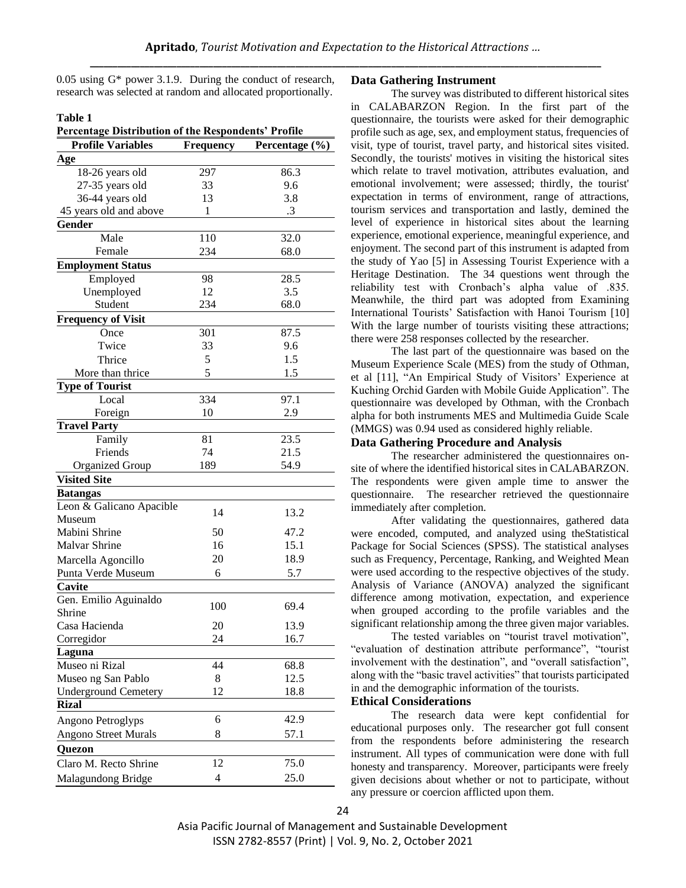0.05 using G\* power 3.1.9. During the conduct of research, research was selected at random and allocated proportionally.

#### **Table 1**

**Percentage Distribution of the Respondents' Profile**

| Age<br>297<br>86.3<br>18-26 years old<br>27-35 years old<br>33<br>9.6<br>36-44 years old<br>13<br>3.8<br>45 years old and above<br>.3<br>1<br>Gender<br>110<br>Male<br>32.0<br>Female<br>234<br>68.0<br><b>Employment Status</b><br>Employed<br>28.5<br>98<br>3.5<br>Unemployed<br>12<br>Student<br>234<br>68.0<br><b>Frequency of Visit</b><br>301<br>87.5<br>Once<br>33<br>Twice<br>9.6<br>5<br>1.5<br>Thrice<br>5<br>1.5<br>More than thrice<br><b>Type of Tourist</b><br>Local<br>334<br>97.1<br>Foreign<br>10<br>2.9<br><b>Travel Party</b><br>81<br>23.5<br>Family<br>Friends<br>74<br>21.5<br>54.9<br><b>Organized Group</b><br>189<br><b>Visited Site</b><br><b>Batangas</b><br>Leon & Galicano Apacible<br>14<br>13.2<br>Museum<br>Mabini Shrine<br>50<br>47.2<br>15.1<br>Malvar Shrine<br>16<br>20<br>18.9<br>Marcella Agoncillo<br>Punta Verde Museum<br>5.7<br>6<br>Cavite<br>Gen. Emilio Aguinaldo<br>100<br>69.4<br>Shrine<br>Casa Hacienda<br>20<br>13.9<br>$2\pi$<br>16.7<br>Corregidor<br>Laguna<br>Museo ni Rizal<br>44<br>68.8<br>12.5<br>8<br>Museo ng San Pablo<br><b>Underground Cemetery</b><br>12<br>18.8<br><b>Rizal</b><br>6<br>42.9<br>Angono Petroglyps<br>8<br><b>Angono Street Murals</b><br>57.1<br>Quezon<br>12<br>75.0<br>Claro M. Recto Shrine<br>4<br>25.0<br>Malagundong Bridge | <b>Profile Variables</b> | Frequency | Percentage (%) |
|---------------------------------------------------------------------------------------------------------------------------------------------------------------------------------------------------------------------------------------------------------------------------------------------------------------------------------------------------------------------------------------------------------------------------------------------------------------------------------------------------------------------------------------------------------------------------------------------------------------------------------------------------------------------------------------------------------------------------------------------------------------------------------------------------------------------------------------------------------------------------------------------------------------------------------------------------------------------------------------------------------------------------------------------------------------------------------------------------------------------------------------------------------------------------------------------------------------------------------------------------------------------------------------------------------------------|--------------------------|-----------|----------------|
|                                                                                                                                                                                                                                                                                                                                                                                                                                                                                                                                                                                                                                                                                                                                                                                                                                                                                                                                                                                                                                                                                                                                                                                                                                                                                                                     |                          |           |                |
|                                                                                                                                                                                                                                                                                                                                                                                                                                                                                                                                                                                                                                                                                                                                                                                                                                                                                                                                                                                                                                                                                                                                                                                                                                                                                                                     |                          |           |                |
|                                                                                                                                                                                                                                                                                                                                                                                                                                                                                                                                                                                                                                                                                                                                                                                                                                                                                                                                                                                                                                                                                                                                                                                                                                                                                                                     |                          |           |                |
|                                                                                                                                                                                                                                                                                                                                                                                                                                                                                                                                                                                                                                                                                                                                                                                                                                                                                                                                                                                                                                                                                                                                                                                                                                                                                                                     |                          |           |                |
|                                                                                                                                                                                                                                                                                                                                                                                                                                                                                                                                                                                                                                                                                                                                                                                                                                                                                                                                                                                                                                                                                                                                                                                                                                                                                                                     |                          |           |                |
|                                                                                                                                                                                                                                                                                                                                                                                                                                                                                                                                                                                                                                                                                                                                                                                                                                                                                                                                                                                                                                                                                                                                                                                                                                                                                                                     |                          |           |                |
|                                                                                                                                                                                                                                                                                                                                                                                                                                                                                                                                                                                                                                                                                                                                                                                                                                                                                                                                                                                                                                                                                                                                                                                                                                                                                                                     |                          |           |                |
|                                                                                                                                                                                                                                                                                                                                                                                                                                                                                                                                                                                                                                                                                                                                                                                                                                                                                                                                                                                                                                                                                                                                                                                                                                                                                                                     |                          |           |                |
|                                                                                                                                                                                                                                                                                                                                                                                                                                                                                                                                                                                                                                                                                                                                                                                                                                                                                                                                                                                                                                                                                                                                                                                                                                                                                                                     |                          |           |                |
|                                                                                                                                                                                                                                                                                                                                                                                                                                                                                                                                                                                                                                                                                                                                                                                                                                                                                                                                                                                                                                                                                                                                                                                                                                                                                                                     |                          |           |                |
|                                                                                                                                                                                                                                                                                                                                                                                                                                                                                                                                                                                                                                                                                                                                                                                                                                                                                                                                                                                                                                                                                                                                                                                                                                                                                                                     |                          |           |                |
|                                                                                                                                                                                                                                                                                                                                                                                                                                                                                                                                                                                                                                                                                                                                                                                                                                                                                                                                                                                                                                                                                                                                                                                                                                                                                                                     |                          |           |                |
|                                                                                                                                                                                                                                                                                                                                                                                                                                                                                                                                                                                                                                                                                                                                                                                                                                                                                                                                                                                                                                                                                                                                                                                                                                                                                                                     |                          |           |                |
|                                                                                                                                                                                                                                                                                                                                                                                                                                                                                                                                                                                                                                                                                                                                                                                                                                                                                                                                                                                                                                                                                                                                                                                                                                                                                                                     |                          |           |                |
|                                                                                                                                                                                                                                                                                                                                                                                                                                                                                                                                                                                                                                                                                                                                                                                                                                                                                                                                                                                                                                                                                                                                                                                                                                                                                                                     |                          |           |                |
|                                                                                                                                                                                                                                                                                                                                                                                                                                                                                                                                                                                                                                                                                                                                                                                                                                                                                                                                                                                                                                                                                                                                                                                                                                                                                                                     |                          |           |                |
|                                                                                                                                                                                                                                                                                                                                                                                                                                                                                                                                                                                                                                                                                                                                                                                                                                                                                                                                                                                                                                                                                                                                                                                                                                                                                                                     |                          |           |                |
|                                                                                                                                                                                                                                                                                                                                                                                                                                                                                                                                                                                                                                                                                                                                                                                                                                                                                                                                                                                                                                                                                                                                                                                                                                                                                                                     |                          |           |                |
|                                                                                                                                                                                                                                                                                                                                                                                                                                                                                                                                                                                                                                                                                                                                                                                                                                                                                                                                                                                                                                                                                                                                                                                                                                                                                                                     |                          |           |                |
|                                                                                                                                                                                                                                                                                                                                                                                                                                                                                                                                                                                                                                                                                                                                                                                                                                                                                                                                                                                                                                                                                                                                                                                                                                                                                                                     |                          |           |                |
|                                                                                                                                                                                                                                                                                                                                                                                                                                                                                                                                                                                                                                                                                                                                                                                                                                                                                                                                                                                                                                                                                                                                                                                                                                                                                                                     |                          |           |                |
|                                                                                                                                                                                                                                                                                                                                                                                                                                                                                                                                                                                                                                                                                                                                                                                                                                                                                                                                                                                                                                                                                                                                                                                                                                                                                                                     |                          |           |                |
|                                                                                                                                                                                                                                                                                                                                                                                                                                                                                                                                                                                                                                                                                                                                                                                                                                                                                                                                                                                                                                                                                                                                                                                                                                                                                                                     |                          |           |                |
|                                                                                                                                                                                                                                                                                                                                                                                                                                                                                                                                                                                                                                                                                                                                                                                                                                                                                                                                                                                                                                                                                                                                                                                                                                                                                                                     |                          |           |                |
|                                                                                                                                                                                                                                                                                                                                                                                                                                                                                                                                                                                                                                                                                                                                                                                                                                                                                                                                                                                                                                                                                                                                                                                                                                                                                                                     |                          |           |                |
|                                                                                                                                                                                                                                                                                                                                                                                                                                                                                                                                                                                                                                                                                                                                                                                                                                                                                                                                                                                                                                                                                                                                                                                                                                                                                                                     |                          |           |                |
|                                                                                                                                                                                                                                                                                                                                                                                                                                                                                                                                                                                                                                                                                                                                                                                                                                                                                                                                                                                                                                                                                                                                                                                                                                                                                                                     |                          |           |                |
|                                                                                                                                                                                                                                                                                                                                                                                                                                                                                                                                                                                                                                                                                                                                                                                                                                                                                                                                                                                                                                                                                                                                                                                                                                                                                                                     |                          |           |                |
|                                                                                                                                                                                                                                                                                                                                                                                                                                                                                                                                                                                                                                                                                                                                                                                                                                                                                                                                                                                                                                                                                                                                                                                                                                                                                                                     |                          |           |                |
|                                                                                                                                                                                                                                                                                                                                                                                                                                                                                                                                                                                                                                                                                                                                                                                                                                                                                                                                                                                                                                                                                                                                                                                                                                                                                                                     |                          |           |                |
|                                                                                                                                                                                                                                                                                                                                                                                                                                                                                                                                                                                                                                                                                                                                                                                                                                                                                                                                                                                                                                                                                                                                                                                                                                                                                                                     |                          |           |                |
|                                                                                                                                                                                                                                                                                                                                                                                                                                                                                                                                                                                                                                                                                                                                                                                                                                                                                                                                                                                                                                                                                                                                                                                                                                                                                                                     |                          |           |                |
|                                                                                                                                                                                                                                                                                                                                                                                                                                                                                                                                                                                                                                                                                                                                                                                                                                                                                                                                                                                                                                                                                                                                                                                                                                                                                                                     |                          |           |                |
|                                                                                                                                                                                                                                                                                                                                                                                                                                                                                                                                                                                                                                                                                                                                                                                                                                                                                                                                                                                                                                                                                                                                                                                                                                                                                                                     |                          |           |                |
|                                                                                                                                                                                                                                                                                                                                                                                                                                                                                                                                                                                                                                                                                                                                                                                                                                                                                                                                                                                                                                                                                                                                                                                                                                                                                                                     |                          |           |                |
|                                                                                                                                                                                                                                                                                                                                                                                                                                                                                                                                                                                                                                                                                                                                                                                                                                                                                                                                                                                                                                                                                                                                                                                                                                                                                                                     |                          |           |                |
|                                                                                                                                                                                                                                                                                                                                                                                                                                                                                                                                                                                                                                                                                                                                                                                                                                                                                                                                                                                                                                                                                                                                                                                                                                                                                                                     |                          |           |                |
|                                                                                                                                                                                                                                                                                                                                                                                                                                                                                                                                                                                                                                                                                                                                                                                                                                                                                                                                                                                                                                                                                                                                                                                                                                                                                                                     |                          |           |                |
|                                                                                                                                                                                                                                                                                                                                                                                                                                                                                                                                                                                                                                                                                                                                                                                                                                                                                                                                                                                                                                                                                                                                                                                                                                                                                                                     |                          |           |                |
|                                                                                                                                                                                                                                                                                                                                                                                                                                                                                                                                                                                                                                                                                                                                                                                                                                                                                                                                                                                                                                                                                                                                                                                                                                                                                                                     |                          |           |                |
|                                                                                                                                                                                                                                                                                                                                                                                                                                                                                                                                                                                                                                                                                                                                                                                                                                                                                                                                                                                                                                                                                                                                                                                                                                                                                                                     |                          |           |                |
|                                                                                                                                                                                                                                                                                                                                                                                                                                                                                                                                                                                                                                                                                                                                                                                                                                                                                                                                                                                                                                                                                                                                                                                                                                                                                                                     |                          |           |                |
|                                                                                                                                                                                                                                                                                                                                                                                                                                                                                                                                                                                                                                                                                                                                                                                                                                                                                                                                                                                                                                                                                                                                                                                                                                                                                                                     |                          |           |                |
|                                                                                                                                                                                                                                                                                                                                                                                                                                                                                                                                                                                                                                                                                                                                                                                                                                                                                                                                                                                                                                                                                                                                                                                                                                                                                                                     |                          |           |                |
|                                                                                                                                                                                                                                                                                                                                                                                                                                                                                                                                                                                                                                                                                                                                                                                                                                                                                                                                                                                                                                                                                                                                                                                                                                                                                                                     |                          |           |                |
|                                                                                                                                                                                                                                                                                                                                                                                                                                                                                                                                                                                                                                                                                                                                                                                                                                                                                                                                                                                                                                                                                                                                                                                                                                                                                                                     |                          |           |                |
|                                                                                                                                                                                                                                                                                                                                                                                                                                                                                                                                                                                                                                                                                                                                                                                                                                                                                                                                                                                                                                                                                                                                                                                                                                                                                                                     |                          |           |                |

## **Data Gathering Instrument**

The survey was distributed to different historical sites in CALABARZON Region. In the first part of the questionnaire, the tourists were asked for their demographic profile such as age, sex, and employment status, frequencies of visit, type of tourist, travel party, and historical sites visited. Secondly, the tourists' motives in visiting the historical sites which relate to travel motivation, attributes evaluation, and emotional involvement; were assessed; thirdly, the tourist' expectation in terms of environment, range of attractions, tourism services and transportation and lastly, demined the level of experience in historical sites about the learning experience, emotional experience, meaningful experience, and enjoyment. The second part of this instrument is adapted from the study of Yao [5] in Assessing Tourist Experience with a Heritage Destination. The 34 questions went through the reliability test with Cronbach's alpha value of .835. Meanwhile, the third part was adopted from Examining International Tourists' Satisfaction with Hanoi Tourism [10] With the large number of tourists visiting these attractions; there were 258 responses collected by the researcher.

The last part of the questionnaire was based on the Museum Experience Scale (MES) from the study of Othman, et al [11], "An Empirical Study of Visitors' Experience at Kuching Orchid Garden with Mobile Guide Application". The questionnaire was developed by Othman, with the Cronbach alpha for both instruments MES and Multimedia Guide Scale (MMGS) was 0.94 used as considered highly reliable.

#### **Data Gathering Procedure and Analysis**

The researcher administered the questionnaires onsite of where the identified historical sites in CALABARZON. The respondents were given ample time to answer the questionnaire. The researcher retrieved the questionnaire immediately after completion.

After validating the questionnaires, gathered data were encoded, computed, and analyzed using theStatistical Package for Social Sciences (SPSS). The statistical analyses such as Frequency, Percentage, Ranking, and Weighted Mean were used according to the respective objectives of the study. Analysis of Variance (ANOVA) analyzed the significant difference among motivation, expectation, and experience when grouped according to the profile variables and the significant relationship among the three given major variables.

The tested variables on "tourist travel motivation", "evaluation of destination attribute performance", "tourist involvement with the destination", and "overall satisfaction", along with the "basic travel activities" that tourists participated in and the demographic information of the tourists.

#### **Ethical Considerations**

The research data were kept confidential for educational purposes only. The researcher got full consent from the respondents before administering the research instrument. All types of communication were done with full honesty and transparency. Moreover, participants were freely given decisions about whether or not to participate, without any pressure or coercion afflicted upon them.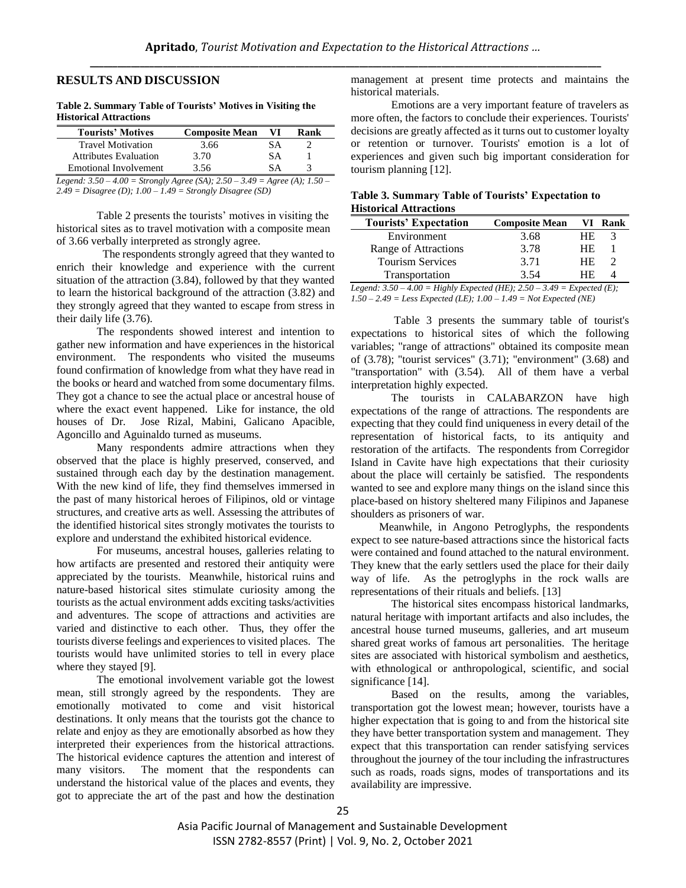## **RESULTS AND DISCUSSION**

| <b>FUSTOFICAL ATTENCHIOLIS</b> |                       |     |      |
|--------------------------------|-----------------------|-----|------|
| <b>Tourists' Motives</b>       | <b>Composite Mean</b> | VI. | Rank |
| <b>Travel Motivation</b>       | 3.66                  | SА  |      |
| <b>Attributes Evaluation</b>   | 3.70                  | SА  |      |
| <b>Emotional Involvement</b>   | 3.56                  | SА  |      |
|                                |                       |     |      |

#### **Table 2. Summary Table of Tourists' Motives in Visiting the Historical Attractions**

*Legend: 3.50 – 4.00 = Strongly Agree (SA); 2.50 – 3.49 = Agree (A); 1.50 – 2.49 = Disagree (D); 1.00 – 1.49 = Strongly Disagree (SD)*

Table 2 presents the tourists' motives in visiting the historical sites as to travel motivation with a composite mean of 3.66 verbally interpreted as strongly agree.

 The respondents strongly agreed that they wanted to enrich their knowledge and experience with the current situation of the attraction (3.84), followed by that they wanted to learn the historical background of the attraction (3.82) and they strongly agreed that they wanted to escape from stress in their daily life (3.76).

The respondents showed interest and intention to gather new information and have experiences in the historical environment. The respondents who visited the museums found confirmation of knowledge from what they have read in the books or heard and watched from some documentary films. They got a chance to see the actual place or ancestral house of where the exact event happened. Like for instance, the old houses of Dr. Jose Rizal, Mabini, Galicano Apacible, Agoncillo and Aguinaldo turned as museums.

Many respondents admire attractions when they observed that the place is highly preserved, conserved, and sustained through each day by the destination management. With the new kind of life, they find themselves immersed in the past of many historical heroes of Filipinos, old or vintage structures, and creative arts as well. Assessing the attributes of the identified historical sites strongly motivates the tourists to explore and understand the exhibited historical evidence.

For museums, ancestral houses, galleries relating to how artifacts are presented and restored their antiquity were appreciated by the tourists. Meanwhile, historical ruins and nature-based historical sites stimulate curiosity among the tourists as the actual environment adds exciting tasks/activities and adventures. The scope of attractions and activities are varied and distinctive to each other. Thus, they offer the tourists diverse feelings and experiences to visited places. The tourists would have unlimited stories to tell in every place where they stayed [9].

The emotional involvement variable got the lowest mean, still strongly agreed by the respondents. They are emotionally motivated to come and visit historical destinations. It only means that the tourists got the chance to relate and enjoy as they are emotionally absorbed as how they interpreted their experiences from the historical attractions. The historical evidence captures the attention and interest of many visitors. The moment that the respondents can understand the historical value of the places and events, they got to appreciate the art of the past and how the destination management at present time protects and maintains the historical materials.

Emotions are a very important feature of travelers as more often, the factors to conclude their experiences. Tourists' decisions are greatly affected as it turns out to customer loyalty or retention or turnover. Tourists' emotion is a lot of experiences and given such big important consideration for tourism planning [12].

| Table 3. Summary Table of Tourists' Expectation to |  |
|----------------------------------------------------|--|
| <b>Historical Attractions</b>                      |  |

| <b>Tourists' Expectation</b>                                      | <b>Composite Mean</b>         |           | VI Rank |
|-------------------------------------------------------------------|-------------------------------|-----------|---------|
| Environment                                                       | 3.68                          | HE.       |         |
| Range of Attractions                                              | 3.78                          | <b>HE</b> |         |
| <b>Tourism Services</b>                                           | 3.71                          | <b>HE</b> |         |
| Transportation                                                    | 3.54                          | HF.       |         |
| $A_0 = H_{\alpha b}$ , $F_{\alpha b} = H_{\alpha b}$<br>1000d.250 | $2.40 - E_{\rm unacital}/E$ . |           |         |

*Legend: 3.50 – 4.00 = Highly Expected (HE); 2.50 – 3.49 = Expected (E); 1.50 – 2.49 = Less Expected (LE); 1.00 – 1.49 = Not Expected (NE)*

Table 3 presents the summary table of tourist's expectations to historical sites of which the following variables; "range of attractions" obtained its composite mean of (3.78); "tourist services" (3.71); "environment" (3.68) and "transportation" with (3.54). All of them have a verbal interpretation highly expected.

The tourists in CALABARZON have high expectations of the range of attractions. The respondents are expecting that they could find uniqueness in every detail of the representation of historical facts, to its antiquity and restoration of the artifacts. The respondents from Corregidor Island in Cavite have high expectations that their curiosity about the place will certainly be satisfied. The respondents wanted to see and explore many things on the island since this place-based on history sheltered many Filipinos and Japanese shoulders as prisoners of war.

 Meanwhile, in Angono Petroglyphs, the respondents expect to see nature-based attractions since the historical facts were contained and found attached to the natural environment. They knew that the early settlers used the place for their daily way of life. As the petroglyphs in the rock walls are representations of their rituals and beliefs. [13]

The historical sites encompass historical landmarks, natural heritage with important artifacts and also includes, the ancestral house turned museums, galleries, and art museum shared great works of famous art personalities. The heritage sites are associated with historical symbolism and aesthetics, with ethnological or anthropological, scientific, and social significance [14].

Based on the results, among the variables, transportation got the lowest mean; however, tourists have a higher expectation that is going to and from the historical site they have better transportation system and management. They expect that this transportation can render satisfying services throughout the journey of the tour including the infrastructures such as roads, roads signs, modes of transportations and its availability are impressive.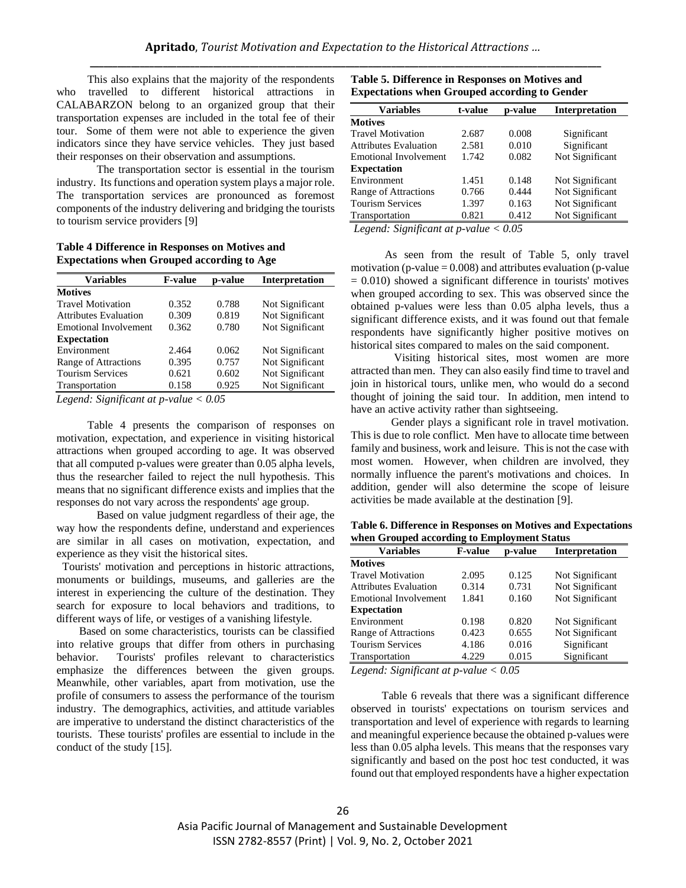This also explains that the majority of the respondents who travelled to different historical attractions in CALABARZON belong to an organized group that their transportation expenses are included in the total fee of their tour. Some of them were not able to experience the given indicators since they have service vehicles. They just based their responses on their observation and assumptions.

The transportation sector is essential in the tourism industry. Its functions and operation system plays a major role. The transportation services are pronounced as foremost components of the industry delivering and bridging the tourists to tourism service providers [9]

**Table 4 Difference in Responses on Motives and Expectations when Grouped according to Age**

| <b>Variables</b>                                                                                                                                                                                                                                                                                                                   | <b>F-value</b> | p-value | <b>Interpretation</b> |
|------------------------------------------------------------------------------------------------------------------------------------------------------------------------------------------------------------------------------------------------------------------------------------------------------------------------------------|----------------|---------|-----------------------|
| <b>Motives</b>                                                                                                                                                                                                                                                                                                                     |                |         |                       |
| <b>Travel Motivation</b>                                                                                                                                                                                                                                                                                                           | 0.352          | 0.788   | Not Significant       |
| <b>Attributes Evaluation</b>                                                                                                                                                                                                                                                                                                       | 0.309          | 0.819   | Not Significant       |
| <b>Emotional Involvement</b>                                                                                                                                                                                                                                                                                                       | 0.362          | 0.780   | Not Significant       |
| <b>Expectation</b>                                                                                                                                                                                                                                                                                                                 |                |         |                       |
| Environment                                                                                                                                                                                                                                                                                                                        | 2.464          | 0.062   | Not Significant       |
| Range of Attractions                                                                                                                                                                                                                                                                                                               | 0.395          | 0.757   | Not Significant       |
| <b>Tourism Services</b>                                                                                                                                                                                                                                                                                                            | 0.621          | 0.602   | Not Significant       |
| Transportation                                                                                                                                                                                                                                                                                                                     | 0.158          | 0.925   | Not Significant       |
| $\mathbf{I}$ $\mathbf{I}$ $\mathbf{C}$ $\mathbf{C}$ $\mathbf{C}$ $\mathbf{A}$ $\mathbf{C}$ $\mathbf{C}$ $\mathbf{A}$ $\mathbf{C}$ $\mathbf{C}$ $\mathbf{A}$ $\mathbf{C}$ $\mathbf{C}$ $\mathbf{C}$ $\mathbf{A}$ $\mathbf{C}$ $\mathbf{C}$ $\mathbf{C}$ $\mathbf{A}$ $\mathbf{C}$ $\mathbf{C}$ $\mathbf{C}$ $\mathbf{C}$ $\mathbf{$ |                |         |                       |

*Legend: Significant at p-value < 0.05*

 Table 4 presents the comparison of responses on motivation, expectation, and experience in visiting historical attractions when grouped according to age. It was observed that all computed p-values were greater than 0.05 alpha levels, thus the researcher failed to reject the null hypothesis. This means that no significant difference exists and implies that the responses do not vary across the respondents' age group.

Based on value judgment regardless of their age, the way how the respondents define, understand and experiences are similar in all cases on motivation, expectation, and experience as they visit the historical sites.

 Tourists' motivation and perceptions in historic attractions, monuments or buildings, museums, and galleries are the interest in experiencing the culture of the destination. They search for exposure to local behaviors and traditions, to different ways of life, or vestiges of a vanishing lifestyle.

 Based on some characteristics, tourists can be classified into relative groups that differ from others in purchasing behavior. Tourists' profiles relevant to characteristics emphasize the differences between the given groups. Meanwhile, other variables, apart from motivation, use the profile of consumers to assess the performance of the tourism industry. The demographics, activities, and attitude variables are imperative to understand the distinct characteristics of the tourists. These tourists' profiles are essential to include in the conduct of the study [15].

| Table 5. Difference in Responses on Motives and      |  |
|------------------------------------------------------|--|
| <b>Expectations when Grouped according to Gender</b> |  |

| <b>Variables</b>             | t-value | p-value | <b>Interpretation</b> |
|------------------------------|---------|---------|-----------------------|
| <b>Motives</b>               |         |         |                       |
| <b>Travel Motivation</b>     | 2.687   | 0.008   | Significant           |
| <b>Attributes Evaluation</b> | 2.581   | 0.010   | Significant           |
| <b>Emotional Involvement</b> | 1.742   | 0.082   | Not Significant       |
| <b>Expectation</b>           |         |         |                       |
| Environment                  | 1.451   | 0.148   | Not Significant       |
| Range of Attractions         | 0.766   | 0.444   | Not Significant       |
| <b>Tourism Services</b>      | 1.397   | 0.163   | Not Significant       |
| Transportation               | 0.821   | 0.412   | Not Significant       |

*Legend: Significant at p-value < 0.05*

 As seen from the result of Table 5, only travel motivation (p-value  $= 0.008$ ) and attributes evaluation (p-value  $= 0.010$ ) showed a significant difference in tourists' motives when grouped according to sex. This was observed since the obtained p-values were less than 0.05 alpha levels, thus a significant difference exists, and it was found out that female respondents have significantly higher positive motives on historical sites compared to males on the said component.

Visiting historical sites, most women are more attracted than men. They can also easily find time to travel and join in historical tours, unlike men, who would do a second thought of joining the said tour. In addition, men intend to have an active activity rather than sightseeing.

Gender plays a significant role in travel motivation. This is due to role conflict. Men have to allocate time between family and business, work and leisure. This is not the case with most women. However, when children are involved, they normally influence the parent's motivations and choices. In addition, gender will also determine the scope of leisure activities be made available at the destination [9].

**Table 6. Difference in Responses on Motives and Expectations when Grouped according to Employment Status**

| <b>Variables</b>             | <b>F-value</b> | p-value | Interpretation  |
|------------------------------|----------------|---------|-----------------|
| <b>Motives</b>               |                |         |                 |
| <b>Travel Motivation</b>     | 2.095          | 0.125   | Not Significant |
| <b>Attributes Evaluation</b> | 0.314          | 0.731   | Not Significant |
| <b>Emotional Involvement</b> | 1.841          | 0.160   | Not Significant |
| <b>Expectation</b>           |                |         |                 |
| Environment                  | 0.198          | 0.820   | Not Significant |
| Range of Attractions         | 0.423          | 0.655   | Not Significant |
| <b>Tourism Services</b>      | 4.186          | 0.016   | Significant     |
| Transportation               | 4.229          | 0.015   | Significant     |

*Legend: Significant at p-value < 0.05*

 Table 6 reveals that there was a significant difference observed in tourists' expectations on tourism services and transportation and level of experience with regards to learning and meaningful experience because the obtained p-values were less than 0.05 alpha levels. This means that the responses vary significantly and based on the post hoc test conducted, it was found out that employed respondents have a higher expectation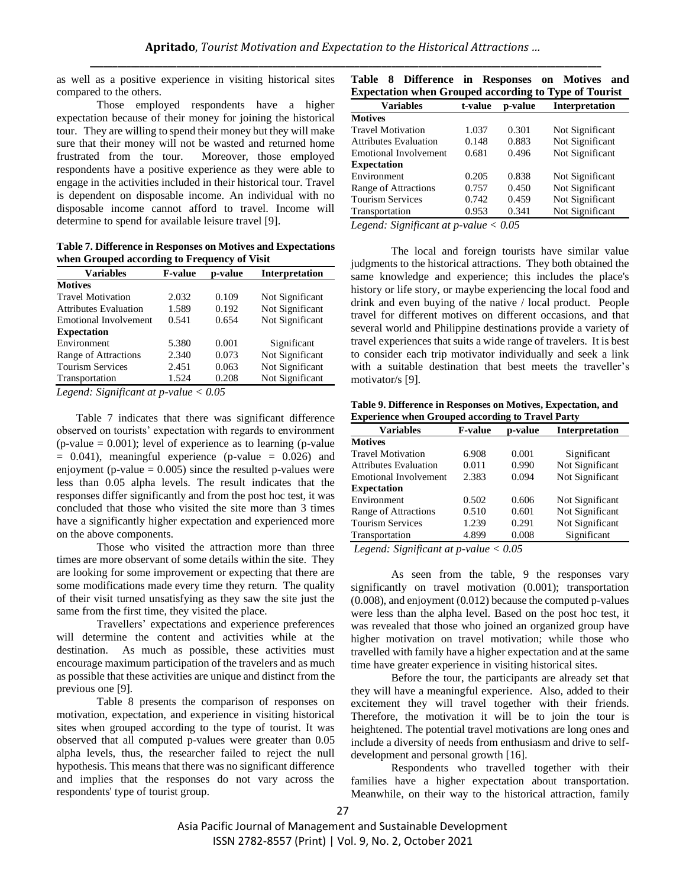as well as a positive experience in visiting historical sites compared to the others.

Those employed respondents have a higher expectation because of their money for joining the historical tour. They are willing to spend their money but they will make sure that their money will not be wasted and returned home frustrated from the tour. Moreover, those employed respondents have a positive experience as they were able to engage in the activities included in their historical tour. Travel is dependent on disposable income. An individual with no disposable income cannot afford to travel. Income will determine to spend for available leisure travel [9].

**Table 7. Difference in Responses on Motives and Expectations when Grouped according to Frequency of Visit**

| <b>Variables</b>             | <b>F-value</b> | p-value | <b>Interpretation</b> |
|------------------------------|----------------|---------|-----------------------|
| <b>Motives</b>               |                |         |                       |
| <b>Travel Motivation</b>     | 2.032          | 0.109   | Not Significant       |
| <b>Attributes Evaluation</b> | 1.589          | 0.192   | Not Significant       |
| <b>Emotional Involvement</b> | 0.541          | 0.654   | Not Significant       |
| <b>Expectation</b>           |                |         |                       |
| Environment                  | 5.380          | 0.001   | Significant           |
| Range of Attractions         | 2.340          | 0.073   | Not Significant       |
| <b>Tourism Services</b>      | 2.451          | 0.063   | Not Significant       |
| Transportation               | 1.524          | 0.208   | Not Significant       |
|                              |                |         |                       |

*Legend: Significant at p-value < 0.05*

 Table 7 indicates that there was significant difference observed on tourists' expectation with regards to environment  $(p-value = 0.001)$ ; level of experience as to learning (p-value)  $= 0.041$ , meaningful experience (p-value  $= 0.026$ ) and enjoyment (p-value  $= 0.005$ ) since the resulted p-values were less than 0.05 alpha levels. The result indicates that the responses differ significantly and from the post hoc test, it was concluded that those who visited the site more than 3 times have a significantly higher expectation and experienced more on the above components.

Those who visited the attraction more than three times are more observant of some details within the site. They are looking for some improvement or expecting that there are some modifications made every time they return. The quality of their visit turned unsatisfying as they saw the site just the same from the first time, they visited the place.

Travellers' expectations and experience preferences will determine the content and activities while at the destination. As much as possible, these activities must encourage maximum participation of the travelers and as much as possible that these activities are unique and distinct from the previous one [9].

Table 8 presents the comparison of responses on motivation, expectation, and experience in visiting historical sites when grouped according to the type of tourist. It was observed that all computed p-values were greater than 0.05 alpha levels, thus, the researcher failed to reject the null hypothesis. This means that there was no significant difference and implies that the responses do not vary across the respondents' type of tourist group.

|  | Table 8 Difference in Responses on Motives and               |  |  |  |
|--|--------------------------------------------------------------|--|--|--|
|  | <b>Expectation when Grouped according to Type of Tourist</b> |  |  |  |

| <b>Variables</b>             | t-value | p-value | <b>Interpretation</b> |
|------------------------------|---------|---------|-----------------------|
| <b>Motives</b>               |         |         |                       |
| <b>Travel Motivation</b>     | 1.037   | 0.301   | Not Significant       |
| <b>Attributes Evaluation</b> | 0.148   | 0.883   | Not Significant       |
| <b>Emotional Involvement</b> | 0.681   | 0.496   | Not Significant       |
| <b>Expectation</b>           |         |         |                       |
| Environment                  | 0.205   | 0.838   | Not Significant       |
| Range of Attractions         | 0.757   | 0.450   | Not Significant       |
| <b>Tourism Services</b>      | 0.742   | 0.459   | Not Significant       |
| Transportation               | 0.953   | 0.341   | Not Significant       |

*Legend: Significant at p-value < 0.05*

The local and foreign tourists have similar value judgments to the historical attractions. They both obtained the same knowledge and experience; this includes the place's history or life story, or maybe experiencing the local food and drink and even buying of the native / local product. People travel for different motives on different occasions, and that several world and Philippine destinations provide a variety of travel experiences that suits a wide range of travelers. It is best to consider each trip motivator individually and seek a link with a suitable destination that best meets the traveller's motivator/s [9].

**Table 9. Difference in Responses on Motives, Expectation, and Experience when Grouped according to Travel Party**

| <b>Variables</b><br><b>F-value</b> |       | p-value | <b>Interpretation</b> |
|------------------------------------|-------|---------|-----------------------|
| <b>Motives</b>                     |       |         |                       |
| <b>Travel Motivation</b>           | 6.908 | 0.001   | Significant           |
| <b>Attributes Evaluation</b>       | 0.011 | 0.990   | Not Significant       |
| Emotional Involvement              | 2.383 | 0.094   | Not Significant       |
| <b>Expectation</b>                 |       |         |                       |
| Environment                        | 0.502 | 0.606   | Not Significant       |
| Range of Attractions               | 0.510 | 0.601   | Not Significant       |
| <b>Tourism Services</b>            | 1.239 | 0.291   | Not Significant       |
| Transportation                     | 4.899 | 0.008   | Significant           |

*Legend: Significant at p-value < 0.05*

As seen from the table, 9 the responses vary significantly on travel motivation  $(0.001)$ ; transportation (0.008), and enjoyment (0.012) because the computed p-values were less than the alpha level. Based on the post hoc test, it was revealed that those who joined an organized group have higher motivation on travel motivation; while those who travelled with family have a higher expectation and at the same time have greater experience in visiting historical sites.

Before the tour, the participants are already set that they will have a meaningful experience. Also, added to their excitement they will travel together with their friends. Therefore, the motivation it will be to join the tour is heightened. The potential travel motivations are long ones and include a diversity of needs from enthusiasm and drive to selfdevelopment and personal growth [16].

Respondents who travelled together with their families have a higher expectation about transportation. Meanwhile, on their way to the historical attraction, family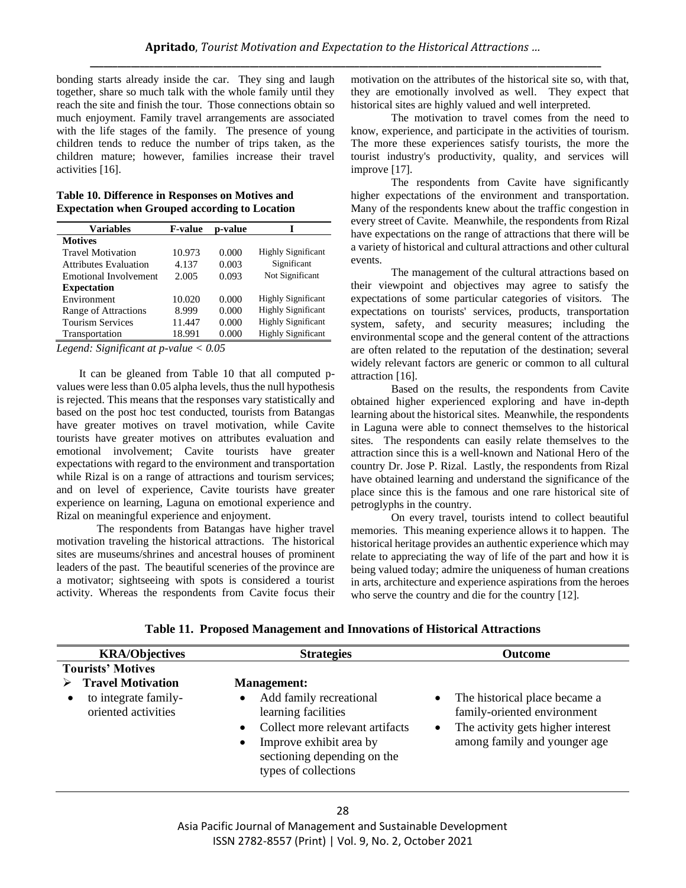bonding starts already inside the car. They sing and laugh together, share so much talk with the whole family until they reach the site and finish the tour. Those connections obtain so much enjoyment. Family travel arrangements are associated with the life stages of the family. The presence of young children tends to reduce the number of trips taken, as the children mature; however, families increase their travel activities [16].

#### **Table 10. Difference in Responses on Motives and Expectation when Grouped according to Location**

| <b>Variables</b>             | <b>F-value</b> | p-value |                           |
|------------------------------|----------------|---------|---------------------------|
| <b>Motives</b>               |                |         |                           |
| <b>Travel Motivation</b>     | 10.973         | 0.000   | <b>Highly Significant</b> |
| <b>Attributes Evaluation</b> | 4.137          | 0.003   | Significant               |
| Emotional Involvement        | 2.005          | 0.093   | Not Significant           |
| <b>Expectation</b>           |                |         |                           |
| Environment                  | 10.020         | 0.000   | <b>Highly Significant</b> |
| Range of Attractions         | 8.999          | 0.000   | <b>Highly Significant</b> |
| <b>Tourism Services</b>      | 11.447         | 0.000   | <b>Highly Significant</b> |
| Transportation               | 18.991         | 0.000   | <b>Highly Significant</b> |

*Legend: Significant at p-value < 0.05*

 It can be gleaned from Table 10 that all computed pvalues were less than 0.05 alpha levels, thus the null hypothesis is rejected. This means that the responses vary statistically and based on the post hoc test conducted, tourists from Batangas have greater motives on travel motivation, while Cavite tourists have greater motives on attributes evaluation and emotional involvement; Cavite tourists have greater expectations with regard to the environment and transportation while Rizal is on a range of attractions and tourism services; and on level of experience, Cavite tourists have greater experience on learning, Laguna on emotional experience and Rizal on meaningful experience and enjoyment.

The respondents from Batangas have higher travel motivation traveling the historical attractions. The historical sites are museums/shrines and ancestral houses of prominent leaders of the past. The beautiful sceneries of the province are a motivator; sightseeing with spots is considered a tourist activity. Whereas the respondents from Cavite focus their motivation on the attributes of the historical site so, with that, they are emotionally involved as well. They expect that historical sites are highly valued and well interpreted.

The motivation to travel comes from the need to know, experience, and participate in the activities of tourism. The more these experiences satisfy tourists, the more the tourist industry's productivity, quality, and services will improve [17].

The respondents from Cavite have significantly higher expectations of the environment and transportation. Many of the respondents knew about the traffic congestion in every street of Cavite. Meanwhile, the respondents from Rizal have expectations on the range of attractions that there will be a variety of historical and cultural attractions and other cultural events.

The management of the cultural attractions based on their viewpoint and objectives may agree to satisfy the expectations of some particular categories of visitors. The expectations on tourists' services, products, transportation system, safety, and security measures; including the environmental scope and the general content of the attractions are often related to the reputation of the destination; several widely relevant factors are generic or common to all cultural attraction [16].

Based on the results, the respondents from Cavite obtained higher experienced exploring and have in-depth learning about the historical sites. Meanwhile, the respondents in Laguna were able to connect themselves to the historical sites. The respondents can easily relate themselves to the attraction since this is a well-known and National Hero of the country Dr. Jose P. Rizal. Lastly, the respondents from Rizal have obtained learning and understand the significance of the place since this is the famous and one rare historical site of petroglyphs in the country.

On every travel, tourists intend to collect beautiful memories. This meaning experience allows it to happen. The historical heritage provides an authentic experience which may relate to appreciating the way of life of the part and how it is being valued today; admire the uniqueness of human creations in arts, architecture and experience aspirations from the heroes who serve the country and die for the country [12].

|  | Table 11. Proposed Management and Innovations of Historical Attractions |  |  |
|--|-------------------------------------------------------------------------|--|--|
|  |                                                                         |  |  |

| <b>KRA/Objectives</b>                                                                                            | <b>Strategies</b>                                                                                                                                                                                      | <b>Outcome</b>                                                                                                                                              |
|------------------------------------------------------------------------------------------------------------------|--------------------------------------------------------------------------------------------------------------------------------------------------------------------------------------------------------|-------------------------------------------------------------------------------------------------------------------------------------------------------------|
| <b>Tourists' Motives</b><br><b>Travel Motivation</b><br>to integrate family-<br>$\bullet$<br>oriented activities | <b>Management:</b><br>Add family recreational<br>learning facilities<br>Collect more relevant artifacts<br>Improve exhibit area by<br>$\bullet$<br>sectioning depending on the<br>types of collections | The historical place became a<br>$\bullet$<br>family-oriented environment<br>The activity gets higher interest<br>$\bullet$<br>among family and younger age |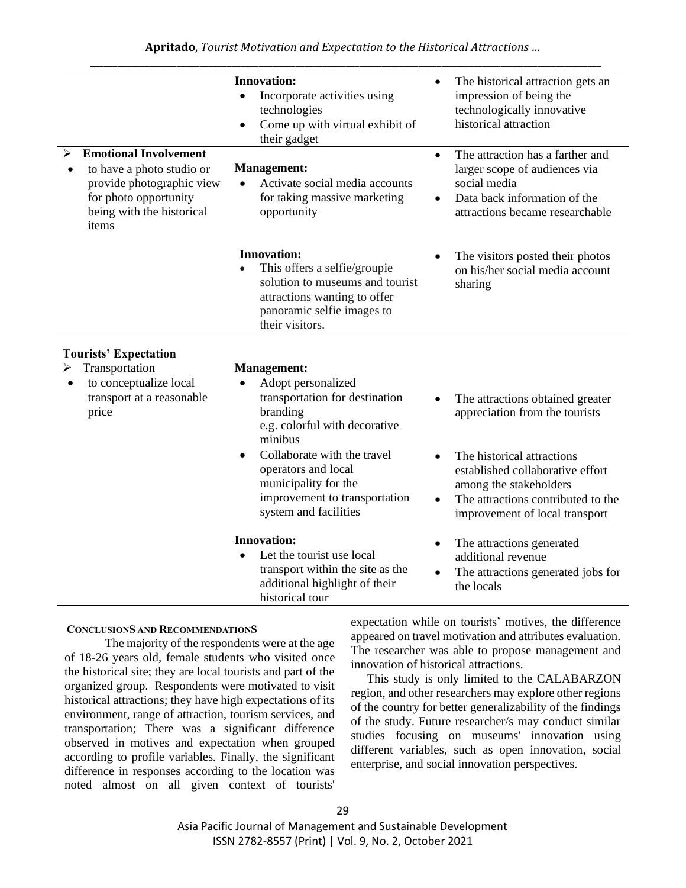|                                                                                                                                                       | <b>Innovation:</b><br>Incorporate activities using<br>$\bullet$<br>technologies<br>Come up with virtual exhibit of<br>$\bullet$<br>their gadget                                                                                                                            | The historical attraction gets an<br>$\bullet$<br>impression of being the<br>technologically innovative<br>historical attraction                                                                                                       |
|-------------------------------------------------------------------------------------------------------------------------------------------------------|----------------------------------------------------------------------------------------------------------------------------------------------------------------------------------------------------------------------------------------------------------------------------|----------------------------------------------------------------------------------------------------------------------------------------------------------------------------------------------------------------------------------------|
| <b>Emotional Involvement</b><br>to have a photo studio or<br>provide photographic view<br>for photo opportunity<br>being with the historical<br>items | <b>Management:</b><br>Activate social media accounts<br>for taking massive marketing<br>opportunity                                                                                                                                                                        | The attraction has a farther and<br>$\bullet$<br>larger scope of audiences via<br>social media<br>Data back information of the<br>attractions became researchable                                                                      |
|                                                                                                                                                       | <b>Innovation:</b><br>This offers a selfie/groupie<br>solution to museums and tourist<br>attractions wanting to offer<br>panoramic selfie images to<br>their visitors.                                                                                                     | The visitors posted their photos<br>on his/her social media account<br>sharing                                                                                                                                                         |
| <b>Tourists' Expectation</b>                                                                                                                          |                                                                                                                                                                                                                                                                            |                                                                                                                                                                                                                                        |
| Transportation<br>➤<br>to conceptualize local<br>$\bullet$<br>transport at a reasonable<br>price                                                      | <b>Management:</b><br>Adopt personalized<br>transportation for destination<br>branding<br>e.g. colorful with decorative<br>minibus<br>Collaborate with the travel<br>operators and local<br>municipality for the<br>improvement to transportation<br>system and facilities | The attractions obtained greater<br>appreciation from the tourists<br>The historical attractions<br>established collaborative effort<br>among the stakeholders<br>The attractions contributed to the<br>improvement of local transport |
|                                                                                                                                                       | <b>Innovation:</b><br>Let the tourist use local<br>transport within the site as the<br>additional highlight of their<br>historical tour                                                                                                                                    | The attractions generated<br>$\bullet$<br>additional revenue<br>The attractions generated jobs for<br>the locals                                                                                                                       |

# **CONCLUSIONS AND RECOMMENDATIONS**

The majority of the respondents were at the age of 18-26 years old, female students who visited once the historical site; they are local tourists and part of the organized group. Respondents were motivated to visit historical attractions; they have high expectations of its environment, range of attraction, tourism services, and transportation; There was a significant difference observed in motives and expectation when grouped according to profile variables. Finally, the significant difference in responses according to the location was noted almost on all given context of tourists' expectation while on tourists' motives, the difference appeared on travel motivation and attributes evaluation. The researcher was able to propose management and innovation of historical attractions.

This study is only limited to the CALABARZON region, and other researchers may explore other regions of the country for better generalizability of the findings of the study. Future researcher/s may conduct similar studies focusing on museums' innovation using different variables, such as open innovation, social enterprise, and social innovation perspectives.